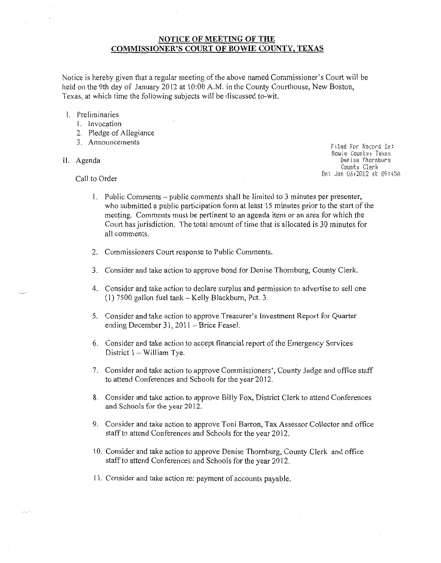## **NOTICE OF MEETING OF THE COMMISSIONER'S COURT OF BOWIE COUNTY, TEXAS**

Notice is hereby given that a regular meeting of the above named Commissioner's Court will be held on the 9th day of January 2012 at 10:00 A.M. in the County Courthouse, New Boston, Texas, at which time the following subjects will be discussed to-wit.

## I. Preliminaries

- 1. Invocation
- 2. Pledge of Allegiance
- 3. Announcements

## II. Agenda

 $F$ **iled** For Record In:  $Bowie$  Counter Texas  $Den$  *ise* Thornburs **Count:! Clerk**  On: Jan 06r2012 mt 09:45A

## Call to Order

- I. Public Comments- public comments shall be limited to 3 minutes per presenter, who submitted a public participation form at least 15 minutes prior to the start of the meeting. Comments must be pertinent to an agenda item or an area for which the Court has jurisdiction. The total amount of time that is allocated is 30 minutes for all comments.
- 2. Commissioners Court response to Public Comments.
- 3. Consider and take action to approve bond for Denise Thornburg, County Clerk.
- 4. Consider and take action to declare surplus and permission to advertise to sell one (1) 7500 gallon fuel tank- Kelly Blackburn, Pet. 3.
- 5. Consider and take action to approve Treasurer's Investment Report for Quarter ending December 31, 2011 - Brice Feasel.
- 6. Consider and take action to accept financial report of the Emergency Services District 1 - William Tye.
- 7. Consider and take action to approve Commissioners', County Judge and office staff to attend Conferences and Schools for the year 2012.
- 8. Consider and take action to approve Billy Fox, District Clerk to attend Conferences and Schools for the year 2012.
- 9. Consider and take action to approve Toni Barron, Tax Assessor Collector and office staff to attend Conferences and Schools for the year 2012.
- 10. Consider and take action to approve Denise Thornburg, County Clerk and office staff to attend Conferences and Schools for the year 2012.
- 11. Consider and take action re: payment of accounts payable.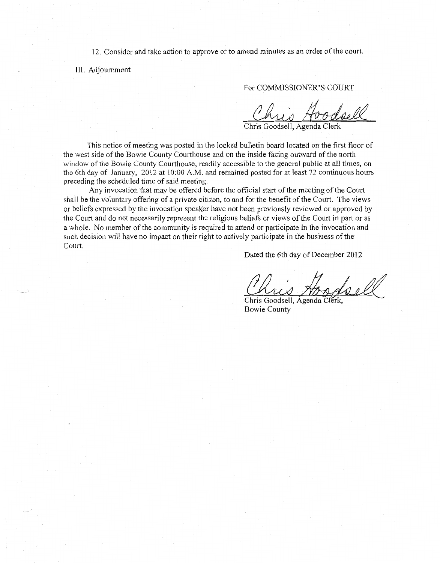12. Consider and take action to approve or to amend minutes as an order of the court.

III. Adjournment

For COMMISSIONER'S COURT

Chris Goodsell, Agenda Clerk

This notice of meeting was posted in the locked bulletin board located on the first floor of the west side of the Bowie County Courthouse and on the inside facing outward ofthe north window of the Bowie County Courthouse, readily accessible to the general public at all times, on the 6th day of January, 2012 at 10:00 A.M. and remained posted for at least 72 continuous hours preceding the scheduled time of said meeting.

Any invocation that may be offered before the official start of the meeting of the Court shall be the voluntary offering of a private citizen, to and for the benefit of the Court. The views or beliefs expressed by the invocation speaker have not been previously reviewed or approved by the Court and do not necessarily represent the religious beliefs or views of the Court in part or as a whole. No member of the community is required to attend or participate in the invocation and such decision will have no impact on their right to actively participate in the business of the Court.

Dated the 6th day of December 2012

Chris Goodsell, Agenda Clerk,

Chris Goodsell, Agenda Clerk, Bowie County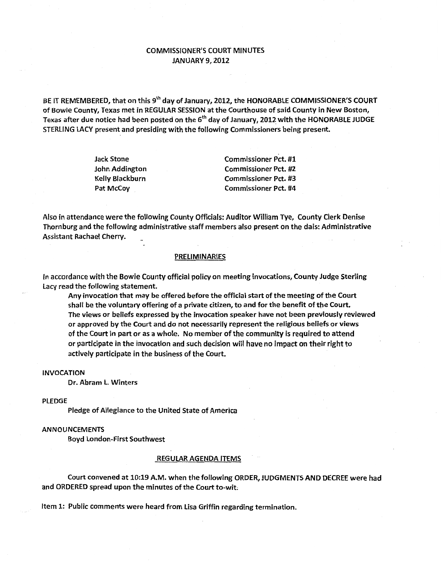# COMMISSIONER'S COURT MINUTES JANUARY 9, 2012

BE IT REMEMBERED, that on this 9<sup>th</sup> day of January, 2012, the HONORABLE COMMISSIONER'S COURT of Bowie County, Texas met in REGULAR SESSION at the Courthouse of said County in New Boston, Texas after due notice had been posted on the 6<sup>th</sup> day of January, 2012 with the HONORABLE JUDGE STERliNG LACY present and presiding with the following Commissioners being present.

| Jack Stone      | <b>Commissioner Pct. #1</b> |
|-----------------|-----------------------------|
| John Addington  | <b>Commissioner Pct. #2</b> |
| Kelly Blackburn | <b>Commissioner Pct. #3</b> |
| Pat McCoy       | <b>Commissioner Pct. #4</b> |

Also in attendance were the following County Officials: Auditor William Tye, County Clerk Denise Thornburg and the following administrative staff members also present on the dais: Administrative Assistant Rachael Cherry.

#### PRELIMINARIES

In accordance with the Bowie County official policy on meeting invocations, County Judge Sterling Lacy read the following statement.

Any invocation that may be offered before the official start of the meeting of the Court shall be the voluntary offering of a private citizen, to and for the benefit of the Court. The views or beliefs expressed by the invocation speaker have not been previously reviewed or approved by the Court and do not necessarily represent the religious beliefs or views of the Court in part or as a whole. No member of the community is required to attend or participate in the invocation and such decision will have no impact on their right to actively participate in the business of the Court.

## INVOCATION

Dr. Abram l. Winters

#### PlEDGE

Pledge of Allegiance to the United State of America

#### **ANNOUNCEMENTS**

Boyd london-First Southwest

#### REGULAR AGENDA ITEMS

Court convened at 10:19 A.M. when the following ORDER, JUDGMENTS AND DECREE were had and ORDERED spread upon the minutes of the Court to-wit.

Item 1: Public comments were heard from lisa Griffin regarding termination.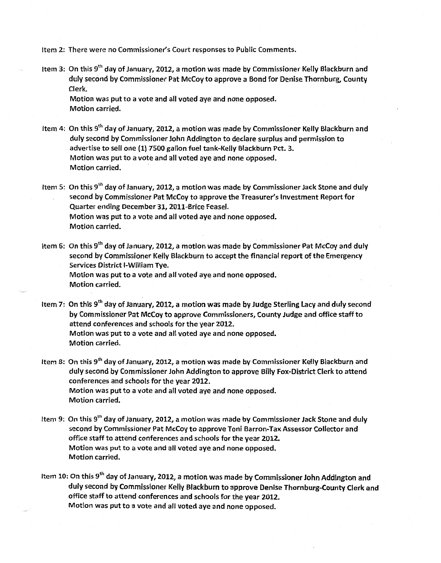Item 2: There were no Commissioner's Court responses to Public Comments.

Item 3: On this 9<sup>th</sup> day of January, 2012, a motion was made by Commissioner Kelly Blackburn and duly second by Commissioner Pat McCoy to approve a Bond for Denise Thornburg, County Clerk.

Motion was put to a vote and all voted aye and none opposed. Motion carried.

- Item 4: On this 9<sup>th</sup> day of January, 2012, a motion was made by Commissioner Kelly Blackburn and duly second by Commissioner John Addington to declare surplus and permission to advertise to sell one (1} 7500 gallon fuel tank-Kelly Blackburn Pet. 3. Motion was put to a vote and all voted aye and none opposed. Motion carried.
- Item 5: On this  $9<sup>th</sup>$  day of January, 2012, a motion was made by Commissioner Jack Stone and duly second by Commissioner Pat McCoy to approve the Treasurer's Investment Report for Quarter ending December 31, 2011-Brice Feasel. Motion was put to a vote and all voted aye and none opposed. Motion carried.
- Item 6: On this 9<sup>th</sup> day of January, 2012, a motion was made by Commissioner Pat McCoy and duly second by Commissioner Kelly Blackburn to accept the financial report of the Emergency Services District !-William Tye. Motion was put to a vote and all voted aye and none opposed. Motion carried.
- Item 7: On this  $9<sup>th</sup>$  day of January, 2012, a motion was made by Judge Sterling Lacy and duly second by Commissioner Pat McCoy to approve Commissioners, County Judge and office staff to attend conferences and schools for the year 2012. Motion was put to a vote and all voted aye and none opposed. Motion carried.
- Item 8: On this 9<sup>th</sup> day of January, 2012, a motion was made by Commissioner Kelly Blackburn and duly second by Commissioner John Addington to approve Billy Fox-District Clerk to attend conferences and schools for the year 2012. Motion was put to a vote and all voted aye and none opposed. Motion carried.
- Item 9: On this 9<sup>th</sup> day of January, 2012, a motion was made by Commissioner Jack Stone and duly second by Commissioner Pat McCoy to approve Toni Barron-Tax Assessor Collector and office staff to attend conferences and schools for the year 2012. Motion was put to a vote and all voted aye and none opposed. Motion carried.
- Item 10: On this 9<sup>th</sup> day of January, 2012, a motion was made by Commissioner John Addington and duly second by Commissioner Kelly Blackburn to approve Denise Thornburg-County Clerk and office staff to attend conferences and schools for the year 2012. Motion was put to a vote and all voted aye and none opposed.